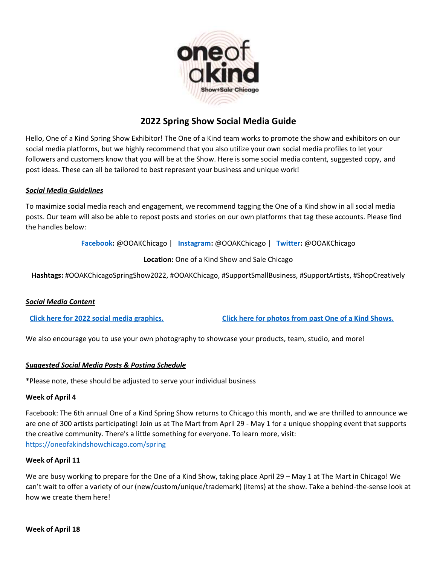

# **2022 Spring Show Social Media Guide**

Hello, One of a Kind Spring Show Exhibitor! The One of a Kind team works to promote the show and exhibitors on our social media platforms, but we highly recommend that you also utilize your own social media profiles to let your followers and customers know that you will be at the Show. Here is some social media content, suggested copy, and post ideas. These can all be tailored to best represent your business and unique work!

#### *Social Media Guidelines*

To maximize social media reach and engagement, we recommend tagging the One of a Kind show in all social media posts. Our team will also be able to repost posts and stories on our own platforms that tag these accounts. Please find the handles below:

**[Facebook:](https://www.facebook.com/OOAKChicago/)** @OOAKChicago | **[Instagram:](https://www.instagram.com/ooakchicago/)** @OOAKChicago | **[Twitter:](https://twitter.com/ooakchicago)** @OOAKChicago

### **Location:** One of a Kind Show and Sale Chicago

**Hashtags:** #OOAKChicagoSpringShow2022, #OOAKChicago, #SupportSmallBusiness, #SupportArtists, #ShopCreatively

#### *Social Media Content*

**[Click here for 2022 social media graphics.](https://www.dropbox.com/sh/c3u1ea2h7kh62f5/AACcditiqTyJvfKSjEN1tRhFa?dl=0) [Click here for photos from past One of a Kind Shows.](https://www.dropbox.com/sh/ya29yry03xq0zee/AADpZFD-vBf_wAMNarSLVfDba?dl=0)**

We also encourage you to use your own photography to showcase your products, team, studio, and more!

#### *Suggested Social Media Posts & Posting Schedule*

\*Please note, these should be adjusted to serve your individual business

#### **Week of April 4**

Facebook: The 6th annual One of a Kind Spring Show returns to Chicago this month, and we are thrilled to announce we are one of 300 artists participating! Join us at The Mart from April 29 - May 1 for a unique shopping event that supports the creative community. There's a little something for everyone. To learn more, visit: <https://oneofakindshowchicago.com/spring>

#### **Week of April 11**

We are busy working to prepare for the One of a Kind Show, taking place April 29 – May 1 at The Mart in Chicago! We can't wait to offer a variety of our (new/custom/unique/trademark) (items) at the show. Take a behind-the-sense look at how we create them here!